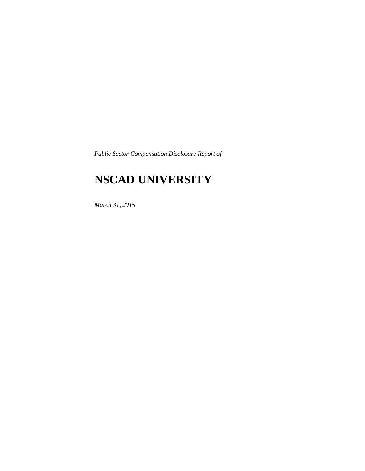*Public Sector Compensation Disclosure Report of* 

## **NSCAD UNIVERSITY**

*March 31, 2015*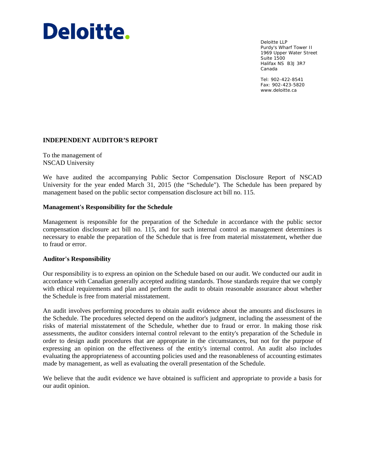# Deloitte.

Deloitte LLP Purdy's Wharf Tower II 1969 Upper Water Street Suite 1500 Halifax NS B3J 3R7 Canada

Tel: 902-422-8541 Fax: 902-423-5820 www.deloitte.ca

### **INDEPENDENT AUDITOR'S REPORT**

To the management of NSCAD University

We have audited the accompanying Public Sector Compensation Disclosure Report of NSCAD University for the year ended March 31, 2015 (the "Schedule"). The Schedule has been prepared by management based on the public sector compensation disclosure act bill no. 115.

#### **Management's Responsibility for the Schedule**

Management is responsible for the preparation of the Schedule in accordance with the public sector compensation disclosure act bill no. 115, and for such internal control as management determines is necessary to enable the preparation of the Schedule that is free from material misstatement, whether due to fraud or error.

#### **Auditor's Responsibility**

Our responsibility is to express an opinion on the Schedule based on our audit. We conducted our audit in accordance with Canadian generally accepted auditing standards. Those standards require that we comply with ethical requirements and plan and perform the audit to obtain reasonable assurance about whether the Schedule is free from material misstatement.

An audit involves performing procedures to obtain audit evidence about the amounts and disclosures in the Schedule. The procedures selected depend on the auditor's judgment, including the assessment of the risks of material misstatement of the Schedule, whether due to fraud or error. In making those risk assessments, the auditor considers internal control relevant to the entity's preparation of the Schedule in order to design audit procedures that are appropriate in the circumstances, but not for the purpose of expressing an opinion on the effectiveness of the entity's internal control. An audit also includes evaluating the appropriateness of accounting policies used and the reasonableness of accounting estimates made by management, as well as evaluating the overall presentation of the Schedule.

We believe that the audit evidence we have obtained is sufficient and appropriate to provide a basis for our audit opinion.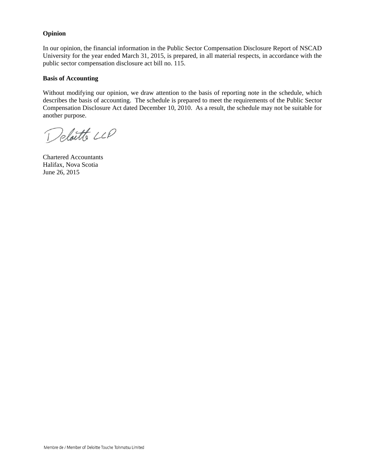#### **Opinion**

In our opinion, the financial information in the Public Sector Compensation Disclosure Report of NSCAD University for the year ended March 31, 2015, is prepared, in all material respects, in accordance with the public sector compensation disclosure act bill no. 115.

#### **Basis of Accounting**

Without modifying our opinion, we draw attention to the basis of reporting note in the schedule, which describes the basis of accounting. The schedule is prepared to meet the requirements of the Public Sector Compensation Disclosure Act dated December 10, 2010. As a result, the schedule may not be suitable for another purpose.

Deloitte LLP

Chartered Accountants Halifax, Nova Scotia June 26, 2015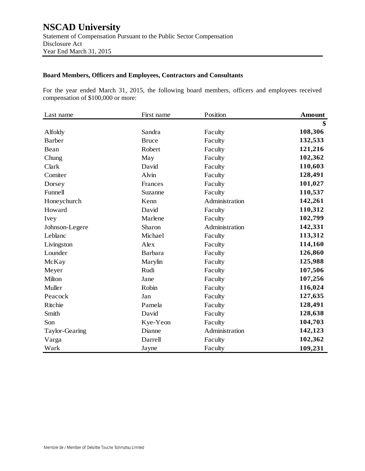#### **Board Members, Officers and Employees, Contractors and Consultants**

For the year ended March 31, 2015, the following board members, officers and employees received compensation of \$100,000 or more:

| Last name      | First name     | Position       | <b>Amount</b> |
|----------------|----------------|----------------|---------------|
|                |                |                | \$            |
| Alfoldy        | Sandra         | Faculty        | 108,306       |
| <b>Barber</b>  | <b>Bruce</b>   | Faculty        | 132,533       |
| Bean           | Robert         | Faculty        | 121,216       |
| Chung          | May            | Faculty        | 102,362       |
| Clark          | David          | Faculty        | 110,603       |
| Comiter        | Alvin          | Faculty        | 128,491       |
| Dorsey         | Frances        | Faculty        | 101,027       |
| Funnell        | Suzanne        | Faculty        | 110,537       |
| Honeychurch    | Kenn           | Administration | 142,261       |
| Howard         | David          | Faculty        | 110,312       |
| Ivey           | Marlene        | Faculty        | 102,799       |
| Johnson-Legere | Sharon         | Administration | 142,331       |
| Leblanc        | Michael        | Faculty        | 113,312       |
| Livingston     | Alex           | Faculty        | 114,160       |
| Lounder        | <b>Barbara</b> | Faculty        | 126,860       |
| McKay          | Marylin        | Faculty        | 125,988       |
| Meyer          | Rudi           | Faculty        | 107,506       |
| Milton         | Jane           | Faculty        | 107,256       |
| Muller         | Robin          | Faculty        | 116,024       |
| Peacock        | Jan            | Faculty        | 127,635       |
| Ritchie        | Pamela         | Faculty        | 128,491       |
| Smith          | David          | Faculty        | 128,638       |
| Son            | Kye-Yeon       | Faculty        | 104,703       |
| Taylor-Gearing | Dianne         | Administration | 142,123       |
| Varga          | Darrell        | Faculty        | 102,362       |
| Wark           | Jayne          | Faculty        | 109,231       |